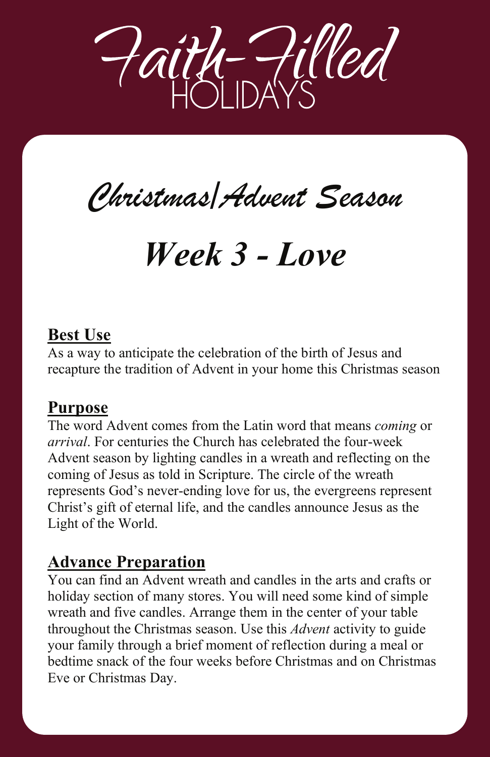

# *Christmas/Advent Season Christmas/Advent Season*

# *Week 3 - Love Week 3 - Love*

# **Best Use**

As a way to anticipate the celebration of the birth of Jesus and recapture the tradition of Advent in your home this Christmas season

As a way to anticipate the celebration of the birth of Jesus and

The word Advent comes from the Latin word that means *coming* or

### **Purpose**

The word Advent comes from the Latin word that means *coming* or *arrival*. For centuries the Church has celebrated the four-week Advent season by lighting candles in a wreath and reflecting on the coming of Jesus as told in Scripture. The circle of the wreath represents God's never-ending love for us, the evergreens represent Christ's gift of eternal life, and the candles announce Jesus as the Light of the World.

# **Advance Preparation You can find an Advance Preparation**

You can find an Advent wreath and candles in the arts and crafts or holiday section of many stores. You will need some kind of simple wreath and five candles. Arrange them in the center of your table throughout the Christmas season. Use this *Advent* activity to guide your family through a brief moment of reflection during a meal or bedtime snack of the four weeks before Christmas and on Christmas Eve or Christmas Day.